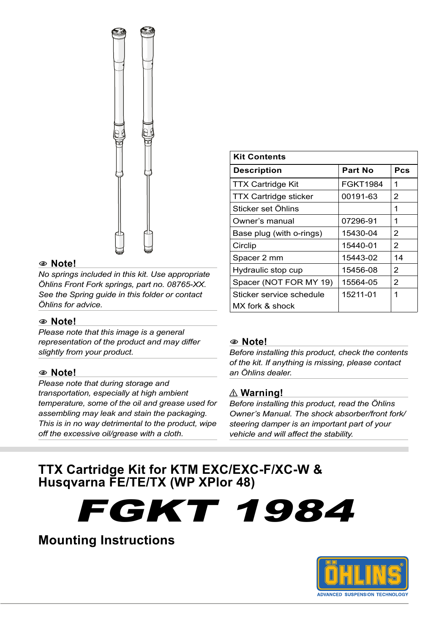

#### 1 **Note!**

*No springs included in this kit. Use appropriate Öhlins Front Fork springs, part no. 08765-XX. See the Spring guide in this folder or contact Öhlins for advice.*

#### 1 **Note!**

*Please note that this image is a general representation of the product and may differ slightly from your product.*

#### 1 **Note!**

*Please note that during storage and transportation, especially at high ambient temperature, some of the oil and grease used for assembling may leak and stain the packaging. This is in no way detrimental to the product, wipe off the excessive oil/grease with a cloth.*

| <b>Kit Contents</b>          |                 |     |  |  |  |  |  |  |  |
|------------------------------|-----------------|-----|--|--|--|--|--|--|--|
| <b>Description</b>           | Part No         | Pcs |  |  |  |  |  |  |  |
| <b>TTX Cartridge Kit</b>     | <b>FGKT1984</b> | 1   |  |  |  |  |  |  |  |
| <b>TTX Cartridge sticker</b> | 00191-63        | 2   |  |  |  |  |  |  |  |
| Sticker set Öhlins           |                 | 1   |  |  |  |  |  |  |  |
| Owner's manual               | 07296-91        | 1   |  |  |  |  |  |  |  |
| Base plug (with o-rings)     | 15430-04        | 2   |  |  |  |  |  |  |  |
| Circlip                      | 15440-01        | 2   |  |  |  |  |  |  |  |
| Spacer 2 mm                  | 15443-02        | 14  |  |  |  |  |  |  |  |
| Hydraulic stop cup           | 15456-08        | 2   |  |  |  |  |  |  |  |
| Spacer (NOT FOR MY 19)       | 15564-05        | 2   |  |  |  |  |  |  |  |
| Sticker service schedule     | 15211-01        | 1   |  |  |  |  |  |  |  |
| MX fork & shock              |                 |     |  |  |  |  |  |  |  |

#### 1 **Note!**

*Before installing this product, check the contents of the kit. If anything is missing, please contact an Öhlins dealer.*

#### ⚠**⚠ Warning!**

*Before installing this product, read the Öhlins Owner's Manual. The shock absorber/front fork/ steering damper is an important part of your vehicle and will affect the stability.*

# **TTX Cartridge Kit for KTM EXC/EXC-F/XC-W & Husqvarna FE/TE/TX (WP XPlor 48)**

FGKT 1984

# **Mounting Instructions**

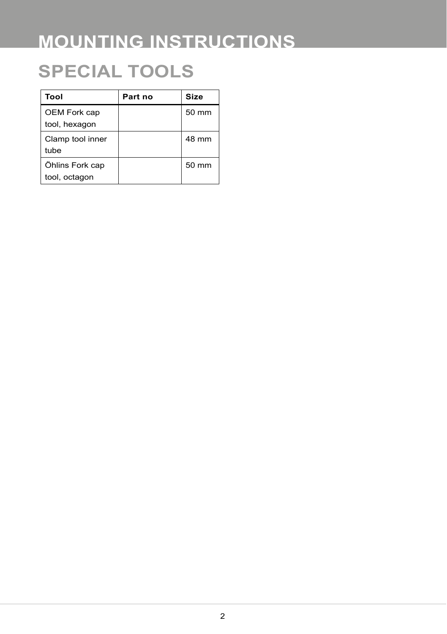# **SPECIAL TOOLS**

| Tool                             | Part no | Size  |
|----------------------------------|---------|-------|
| OEM Fork cap<br>tool, hexagon    |         | 50 mm |
|                                  |         |       |
| Clamp tool inner<br>tube         |         | 48 mm |
| Öhlins Fork cap<br>tool, octagon |         | 50 mm |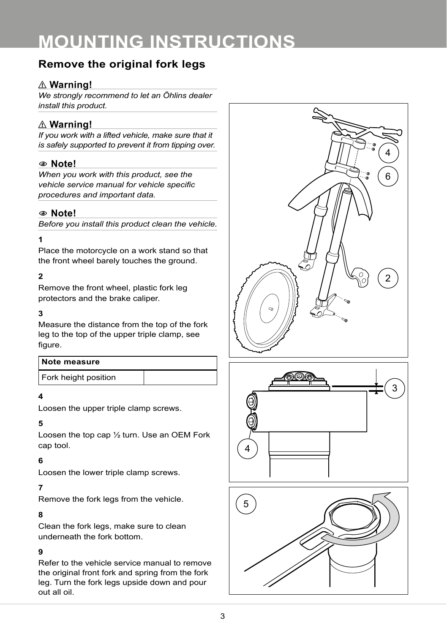# **Remove the original fork legs**

# ⚠**⚠ Warning!**

*We strongly recommend to let an Öhlins dealer install this product.*

# ⚠**⚠ Warning!**

*If you work with a lifted vehicle, make sure that it is safely supported to prevent it from tipping over.*

# 1 **Note!**

*When you work with this product, see the vehicle service manual for vehicle specific procedures and important data.*

# 1 **Note!**

*Before you install this product clean the vehicle.*

#### **1**

Place the motorcycle on a work stand so that the front wheel barely touches the ground.

# **2**

Remove the front wheel, plastic fork leg protectors and the brake caliper.

### **3**

Measure the distance from the top of the fork leg to the top of the upper triple clamp, see figure.

| Note measure         |  |
|----------------------|--|
| Fork height position |  |

#### **4**

Loosen the upper triple clamp screws.

## **5**

Loosen the top cap ½ turn. Use an OEM Fork cap tool.

# **6**

Loosen the lower triple clamp screws.

# **7**

Remove the fork legs from the vehicle.

## **8**

Clean the fork legs, make sure to clean underneath the fork bottom.

## **9**

Refer to the vehicle service manual to remove the original front fork and spring from the fork leg. Turn the fork legs upside down and pour out all oil.





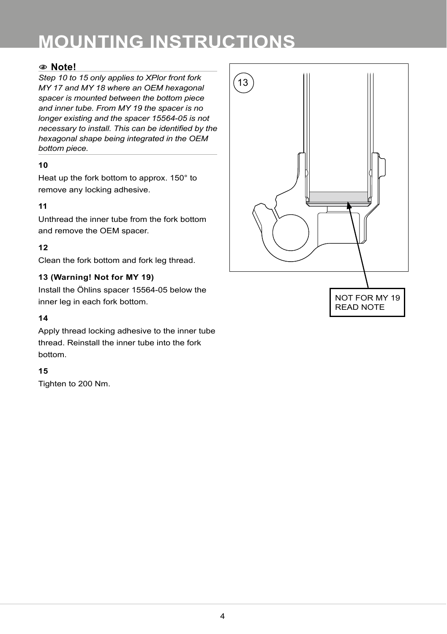# 1 **Note!**

*Step 10 to 15 only applies to XPlor front fork MY 17 and MY 18 where an OEM hexagonal spacer is mounted between the bottom piece and inner tube. From MY 19 the spacer is no longer existing and the spacer 15564-05 is not necessary to install. This can be identified by the hexagonal shape being integrated in the OEM bottom piece.*

#### **10**

Heat up the fork bottom to approx. 150° to remove any locking adhesive.

#### **11**

Unthread the inner tube from the fork bottom and remove the OEM spacer.

## **12**

Clean the fork bottom and fork leg thread.

#### 13 (Warning! Not for MY 19)

Install the Öhlins spacer 15564-05 below the inner leg in each fork bottom.

#### **14**

Apply thread locking adhesive to the inner tube thread. Reinstall the inner tube into the fork bottom.

#### **15**

Tighten to 200 Nm.

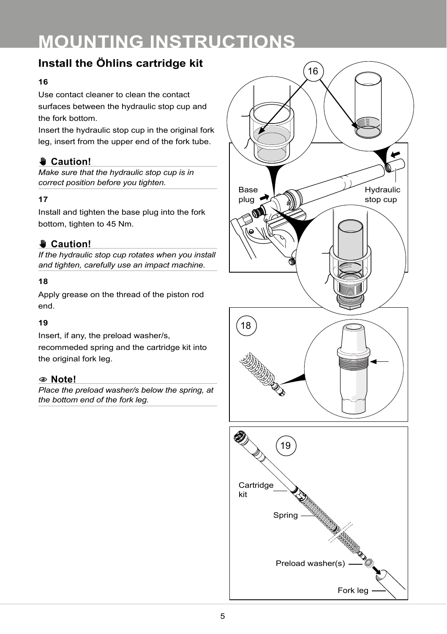# **Install the Öhlins cartridge kit**

#### **16**

Use contact cleaner to clean the contact surfaces between the hydraulic stop cup and the fork bottom.

Insert the hydraulic stop cup in the original fork leg, insert from the upper end of the fork tube.

# ✋**✋ Caution!**

*Make sure that the hydraulic stop cup is in correct position before you tighten.*

## **17**

Install and tighten the base plug into the fork bottom, tighten to 45 Nm.

# ✋**✋ Caution!**

*If the hydraulic stop cup rotates when you install and tighten, carefully use an impact machine.*

#### **18**

Apply grease on the thread of the piston rod end.

## **19**

Insert, if any, the preload washer/s, recommeded spring and the cartridge kit into the original fork leg.

## 1 **Note!**

*Place the preload washer/s below the spring, at the bottom end of the fork leg.*



Preload washer(s)

Fork leg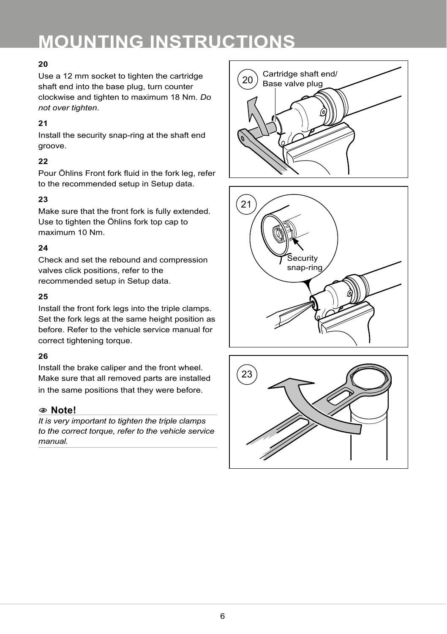# **20**

Use a 12 mm socket to tighten the cartridge shaft end into the base plug, turn counter clockwise and tighten to maximum 18 Nm. *Do not over tighten.*

## **21**

Install the security snap-ring at the shaft end groove.

# **22**

Pour Öhlins Front fork fluid in the fork leg, refer to the recommended setup in Setup data.

# **23**

Make sure that the front fork is fully extended. Use to tighten the Öhlins fork top cap to maximum 10 Nm.

# $24$

Check and set the rebound and compression valves click positions, refer to the recommended setup in Setup data.

## **25**

Install the front fork legs into the triple clamps. Set the fork legs at the same height position as before. Refer to the vehicle service manual for correct tightening torque.

## **26**

Install the brake caliper and the front wheel. Make sure that all removed parts are installed in the same positions that they were before.

# 1 **Note!**

*It is very important to tighten the triple clamps to the correct torque, refer to the vehicle service manual.*





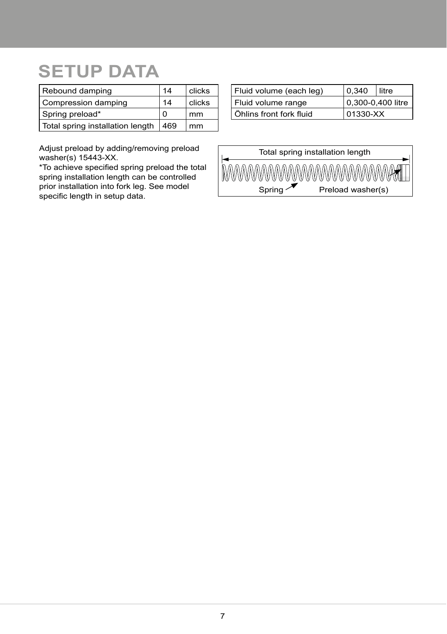# **SETUP DATA**

| Rebound damping                  | 14  | clicks |
|----------------------------------|-----|--------|
| Compression damping              | 14  | clicks |
| Spring preload*                  | O   | mm     |
| Total spring installation length | 469 | mm     |

| Fluid volume (each leg) | 0.340             | litre |  |  |
|-------------------------|-------------------|-------|--|--|
| Fluid volume range      | 0,300-0,400 litre |       |  |  |
| Öhlins front fork fluid | 01330-XX          |       |  |  |

Adjust preload by adding/removing preload washer(s) 15443-XX.

\*To achieve specified spring preload the total spring installation length can be controlled prior installation into fork leg. See model specific length in setup data.

|        | Total spring installation length |
|--------|----------------------------------|
|        | <b>MWWWWWWWWWWWWWWWWAXII</b>     |
| Spring | Preload washer(s)                |